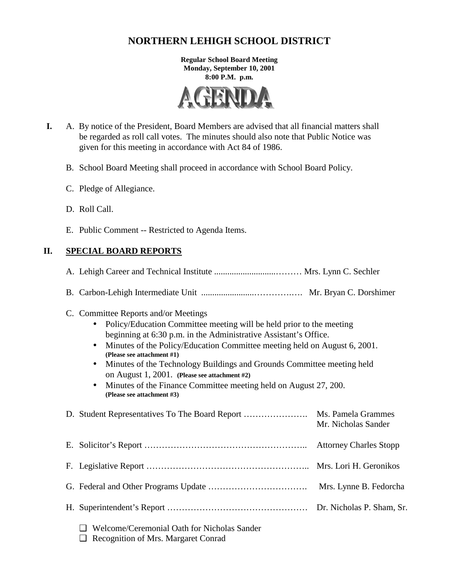# **NORTHERN LEHIGH SCHOOL DISTRICT**

**Regular School Board Meeting Monday, September 10, 2001 8:00 P.M. p.m.** 



- **I.** A. By notice of the President, Board Members are advised that all financial matters shall be regarded as roll call votes. The minutes should also note that Public Notice was given for this meeting in accordance with Act 84 of 1986.
	- B. School Board Meeting shall proceed in accordance with School Board Policy.
	- C. Pledge of Allegiance.
	- D. Roll Call.
	- E. Public Comment -- Restricted to Agenda Items.

# **II. SPECIAL BOARD REPORTS**

A. Lehigh Career and Technical Institute ............................……… Mrs. Lynn C. Sechler

- B. Carbon-Lehigh Intermediate Unit ........................………….…. Mr. Bryan C. Dorshimer
- C. Committee Reports and/or Meetings
	- Policy/Education Committee meeting will be held prior to the meeting beginning at 6:30 p.m. in the Administrative Assistant's Office.
	- Minutes of the Policy/Education Committee meeting held on August 6, 2001. **(Please see attachment #1)**
	- Minutes of the Technology Buildings and Grounds Committee meeting held on August 1, 2001. **(Please see attachment #2)**
	- Minutes of the Finance Committee meeting held on August 27, 200.  **(Please see attachment #3)**

| D. Student Representatives To The Board Report | Ms. Pamela Grammes<br>Mr. Nicholas Sander |
|------------------------------------------------|-------------------------------------------|
|                                                |                                           |
|                                                |                                           |
|                                                |                                           |
|                                                |                                           |
| - Welcome/Ceremonial Oath for Nicholas Sander  |                                           |

❑ Recognition of Mrs. Margaret Conrad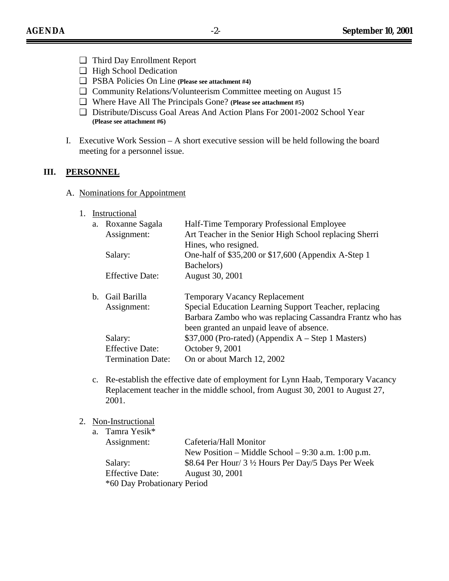- ❑ Third Day Enrollment Report
- ❑ High School Dedication
- ❑ PSBA Policies On Line **(Please see attachment #4)**
- ❑ Community Relations/Volunteerism Committee meeting on August 15
- ❑ Where Have All The Principals Gone? **(Please see attachment #5)**
- ❑ Distribute/Discuss Goal Areas And Action Plans For 2001-2002 School Year **(Please see attachment #6)**
- I. Executive Work Session A short executive session will be held following the board meeting for a personnel issue.

### **III. PERSONNEL**

- A. Nominations for Appointment
	- 1. Instructional

| a. Roxanne Sagala        | Half-Time Temporary Professional Employee                |
|--------------------------|----------------------------------------------------------|
| Assignment:              | Art Teacher in the Senior High School replacing Sherri   |
|                          | Hines, who resigned.                                     |
| Salary:                  | One-half of \$35,200 or \$17,600 (Appendix A-Step 1)     |
|                          | Bachelors)                                               |
| <b>Effective Date:</b>   | August 30, 2001                                          |
| b. Gail Barilla          | <b>Temporary Vacancy Replacement</b>                     |
| Assignment:              | Special Education Learning Support Teacher, replacing    |
|                          | Barbara Zambo who was replacing Cassandra Frantz who has |
|                          | been granted an unpaid leave of absence.                 |
| Salary:                  | $$37,000$ (Pro-rated) (Appendix A – Step 1 Masters)      |
| <b>Effective Date:</b>   | October 9, 2001                                          |
| <b>Termination Date:</b> | On or about March 12, 2002                               |

- c. Re-establish the effective date of employment for Lynn Haab, Temporary Vacancy Replacement teacher in the middle school, from August 30, 2001 to August 27, 2001.
- 2. Non-Instructional

| a. Tamra Yesik*             |                                                      |
|-----------------------------|------------------------------------------------------|
| Assignment:                 | Cafeteria/Hall Monitor                               |
|                             | New Position – Middle School – $9:30$ a.m. 1:00 p.m. |
| Salary:                     | \$8.64 Per Hour/ 3 1/2 Hours Per Day/5 Days Per Week |
| <b>Effective Date:</b>      | August 30, 2001                                      |
| *60 Day Probationary Period |                                                      |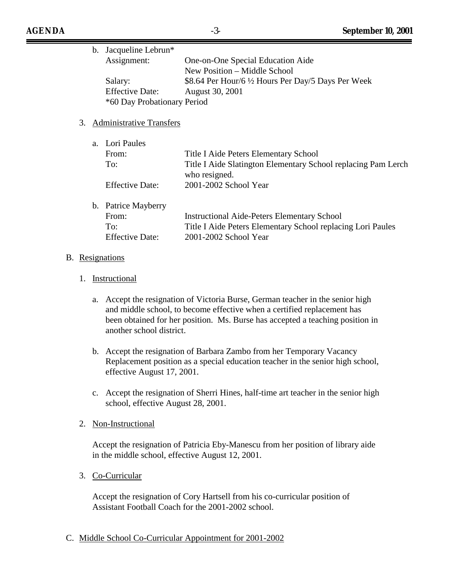| b. Jacqueline Lebrun*       |                                                     |
|-----------------------------|-----------------------------------------------------|
| Assignment:                 | One-on-One Special Education Aide                   |
|                             | New Position – Middle School                        |
| Salary:                     | \$8.64 Per Hour/6 1/2 Hours Per Day/5 Days Per Week |
| <b>Effective Date:</b>      | August 30, 2001                                     |
| *60 Day Probationary Period |                                                     |

## 3. Administrative Transfers

| a. Lori Paules         |                                                                                |
|------------------------|--------------------------------------------------------------------------------|
| From:                  | Title I Aide Peters Elementary School                                          |
| To:                    | Title I Aide Slatington Elementary School replacing Pam Lerch<br>who resigned. |
| <b>Effective Date:</b> | 2001-2002 School Year                                                          |
| b. Patrice Mayberry    |                                                                                |
| From:                  | <b>Instructional Aide-Peters Elementary School</b>                             |
| To:                    | Title I Aide Peters Elementary School replacing Lori Paules                    |
| <b>Effective Date:</b> | 2001-2002 School Year                                                          |

#### B. Resignations

### 1. Instructional

- a. Accept the resignation of Victoria Burse, German teacher in the senior high and middle school, to become effective when a certified replacement has been obtained for her position. Ms. Burse has accepted a teaching position in another school district.
- b. Accept the resignation of Barbara Zambo from her Temporary Vacancy Replacement position as a special education teacher in the senior high school, effective August 17, 2001.
- c. Accept the resignation of Sherri Hines, half-time art teacher in the senior high school, effective August 28, 2001.

#### 2. Non-Instructional

Accept the resignation of Patricia Eby-Manescu from her position of library aide in the middle school, effective August 12, 2001.

3. Co-Curricular

Accept the resignation of Cory Hartsell from his co-curricular position of Assistant Football Coach for the 2001-2002 school.

#### C. Middle School Co-Curricular Appointment for 2001-2002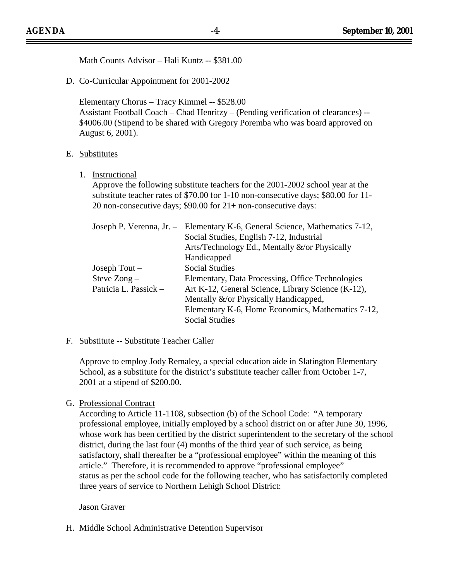| Math Counts Advisor - Hali Kuntz -- \$381.00                                                                                                                                                                                                                                                                       |  |  |
|--------------------------------------------------------------------------------------------------------------------------------------------------------------------------------------------------------------------------------------------------------------------------------------------------------------------|--|--|
| D. Co-Curricular Appointment for 2001-2002                                                                                                                                                                                                                                                                         |  |  |
| Elementary Chorus - Tracy Kimmel -- \$528.00<br>Assistant Football Coach - Chad Henritzy - (Pending verification of clearances) --<br>\$4006.00 (Stipend to be shared with Gregory Poremba who was board approved on<br>August 6, 2001).                                                                           |  |  |
| E. Substitutes                                                                                                                                                                                                                                                                                                     |  |  |
| 1. Instructional<br>Approve the following substitute teachers for the 2001-2002 school year at the<br>substitute teacher rates of \$70.00 for 1-10 non-consecutive days; \$80.00 for 11-<br>20 non-consecutive days; \$90.00 for 21+ non-consecutive days:                                                         |  |  |
| Joseph P. Verenna, Jr. -<br>Elementary K-6, General Science, Mathematics 7-12,<br>Social Studies, English 7-12, Industrial<br>Arts/Technology Ed., Mentally &/or Physically<br>Handicapped                                                                                                                         |  |  |
| <b>Social Studies</b><br>Joseph Tout $-$<br>Steve Zong -<br>Elementary, Data Processing, Office Technologies<br>Patricia L. Passick -<br>Art K-12, General Science, Library Science (K-12),<br>Mentally &/or Physically Handicapped,<br>Elementary K-6, Home Economics, Mathematics 7-12,<br><b>Social Studies</b> |  |  |
| F. Substitute -- Substitute Teacher Caller                                                                                                                                                                                                                                                                         |  |  |
| Approve to employ Jody Remaley, a special education aide in Slatington Elementary<br>School, as a substitute for the district's substitute teacher caller from October 1-7,<br>2001 at a stipend of \$200.00.                                                                                                      |  |  |

# G. Professional Contract

According to Article 11-1108, subsection (b) of the School Code: "A temporary professional employee, initially employed by a school district on or after June 30, 1996, whose work has been certified by the district superintendent to the secretary of the school district, during the last four (4) months of the third year of such service, as being satisfactory, shall thereafter be a "professional employee" within the meaning of this article." Therefore, it is recommended to approve "professional employee" status as per the school code for the following teacher, who has satisfactorily completed three years of service to Northern Lehigh School District:

#### Jason Graver

H. Middle School Administrative Detention Supervisor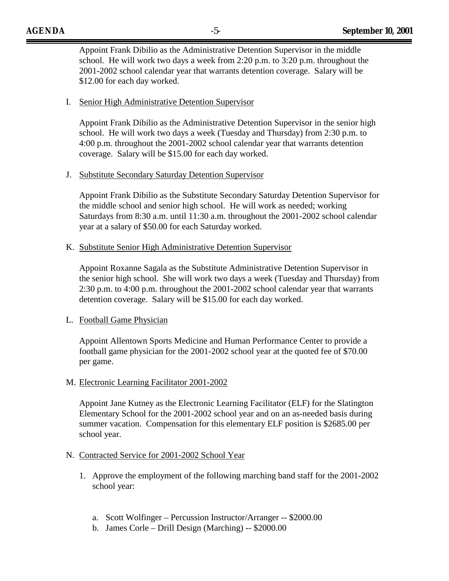Appoint Frank Dibilio as the Administrative Detention Supervisor in the middle school. He will work two days a week from 2:20 p.m. to 3:20 p.m. throughout the 2001-2002 school calendar year that warrants detention coverage. Salary will be \$12.00 for each day worked.

### I. Senior High Administrative Detention Supervisor

Appoint Frank Dibilio as the Administrative Detention Supervisor in the senior high school. He will work two days a week (Tuesday and Thursday) from 2:30 p.m. to 4:00 p.m. throughout the 2001-2002 school calendar year that warrants detention coverage. Salary will be \$15.00 for each day worked.

### J. Substitute Secondary Saturday Detention Supervisor

Appoint Frank Dibilio as the Substitute Secondary Saturday Detention Supervisor for the middle school and senior high school. He will work as needed; working Saturdays from 8:30 a.m. until 11:30 a.m. throughout the 2001-2002 school calendar year at a salary of \$50.00 for each Saturday worked.

### K. Substitute Senior High Administrative Detention Supervisor

Appoint Roxanne Sagala as the Substitute Administrative Detention Supervisor in the senior high school. She will work two days a week (Tuesday and Thursday) from 2:30 p.m. to 4:00 p.m. throughout the 2001-2002 school calendar year that warrants detention coverage. Salary will be \$15.00 for each day worked.

## L. Football Game Physician

Appoint Allentown Sports Medicine and Human Performance Center to provide a football game physician for the 2001-2002 school year at the quoted fee of \$70.00 per game.

#### M. Electronic Learning Facilitator 2001-2002

Appoint Jane Kutney as the Electronic Learning Facilitator (ELF) for the Slatington Elementary School for the 2001-2002 school year and on an as-needed basis during summer vacation. Compensation for this elementary ELF position is \$2685.00 per school year.

#### N. Contracted Service for 2001-2002 School Year

- 1. Approve the employment of the following marching band staff for the 2001-2002 school year:
	- a. Scott Wolfinger Percussion Instructor/Arranger -- \$2000.00
	- b. James Corle Drill Design (Marching) -- \$2000.00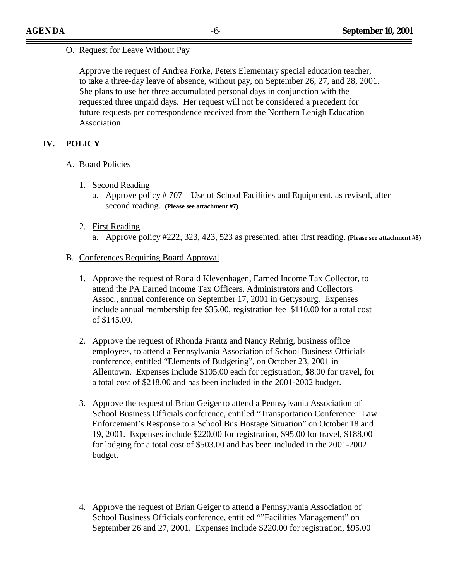## O. Request for Leave Without Pay

Approve the request of Andrea Forke, Peters Elementary special education teacher, to take a three-day leave of absence, without pay, on September 26, 27, and 28, 2001. She plans to use her three accumulated personal days in conjunction with the requested three unpaid days. Her request will not be considered a precedent for future requests per correspondence received from the Northern Lehigh Education Association.

# **IV. POLICY**

- A. Board Policies
	- 1. Second Reading
		- a. Approve policy # 707 Use of School Facilities and Equipment, as revised, after second reading. **(Please see attachment #7)**
	- 2. First Reading
		- a. Approve policy #222, 323, 423, 523 as presented, after first reading. **(Please see attachment #8)**

# B. Conferences Requiring Board Approval

- 1. Approve the request of Ronald Klevenhagen, Earned Income Tax Collector, to attend the PA Earned Income Tax Officers, Administrators and Collectors Assoc., annual conference on September 17, 2001 in Gettysburg. Expenses include annual membership fee \$35.00, registration fee \$110.00 for a total cost of \$145.00.
- 2. Approve the request of Rhonda Frantz and Nancy Rehrig, business office employees, to attend a Pennsylvania Association of School Business Officials conference, entitled "Elements of Budgeting", on October 23, 2001 in Allentown. Expenses include \$105.00 each for registration, \$8.00 for travel, for a total cost of \$218.00 and has been included in the 2001-2002 budget.
- 3. Approve the request of Brian Geiger to attend a Pennsylvania Association of School Business Officials conference, entitled "Transportation Conference: Law Enforcement's Response to a School Bus Hostage Situation" on October 18 and 19, 2001. Expenses include \$220.00 for registration, \$95.00 for travel, \$188.00 for lodging for a total cost of \$503.00 and has been included in the 2001-2002 budget.
- 4. Approve the request of Brian Geiger to attend a Pennsylvania Association of School Business Officials conference, entitled ""Facilities Management" on September 26 and 27, 2001. Expenses include \$220.00 for registration, \$95.00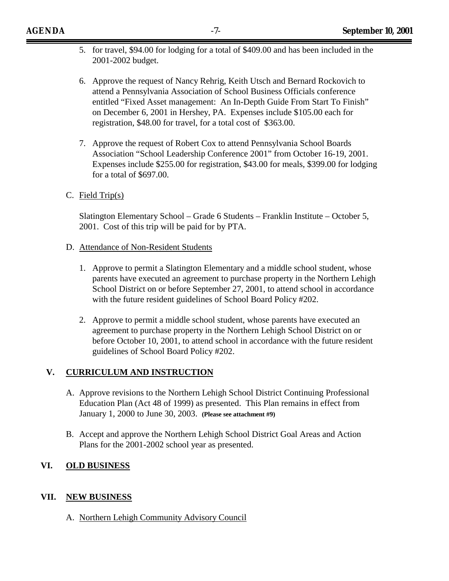- 5. for travel, \$94.00 for lodging for a total of \$409.00 and has been included in the 2001-2002 budget.
- 6. Approve the request of Nancy Rehrig, Keith Utsch and Bernard Rockovich to attend a Pennsylvania Association of School Business Officials conference entitled "Fixed Asset management: An In-Depth Guide From Start To Finish" on December 6, 2001 in Hershey, PA. Expenses include \$105.00 each for registration, \$48.00 for travel, for a total cost of \$363.00.
- 7. Approve the request of Robert Cox to attend Pennsylvania School Boards Association "School Leadership Conference 2001" from October 16-19, 2001. Expenses include \$255.00 for registration, \$43.00 for meals, \$399.00 for lodging for a total of \$697.00.
- C. Field Trip(s)

Slatington Elementary School – Grade 6 Students – Franklin Institute – October 5, 2001. Cost of this trip will be paid for by PTA.

- D. Attendance of Non-Resident Students
	- 1. Approve to permit a Slatington Elementary and a middle school student, whose parents have executed an agreement to purchase property in the Northern Lehigh School District on or before September 27, 2001, to attend school in accordance with the future resident guidelines of School Board Policy #202.
	- 2. Approve to permit a middle school student, whose parents have executed an agreement to purchase property in the Northern Lehigh School District on or before October 10, 2001, to attend school in accordance with the future resident guidelines of School Board Policy #202.

# **V. CURRICULUM AND INSTRUCTION**

- A. Approve revisions to the Northern Lehigh School District Continuing Professional Education Plan (Act 48 of 1999) as presented. This Plan remains in effect from January 1, 2000 to June 30, 2003. **(Please see attachment #9)**
- B. Accept and approve the Northern Lehigh School District Goal Areas and Action Plans for the 2001-2002 school year as presented.

# **VI. OLD BUSINESS**

# **VII. NEW BUSINESS**

A. Northern Lehigh Community Advisory Council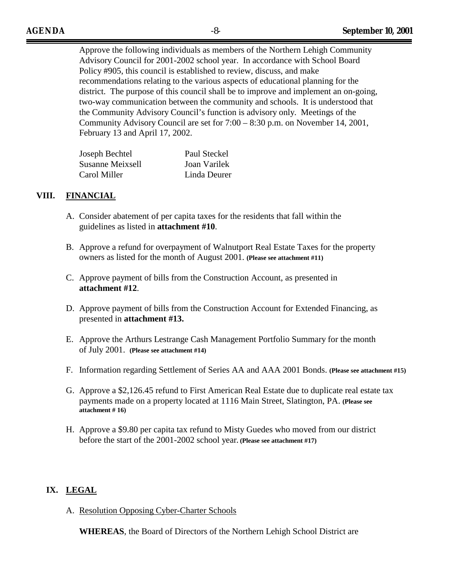Approve the following individuals as members of the Northern Lehigh Community Advisory Council for 2001-2002 school year. In accordance with School Board Policy #905, this council is established to review, discuss, and make recommendations relating to the various aspects of educational planning for the district. The purpose of this council shall be to improve and implement an on-going, two-way communication between the community and schools. It is understood that the Community Advisory Council's function is advisory only. Meetings of the Community Advisory Council are set for 7:00 – 8:30 p.m. on November 14, 2001, February 13 and April 17, 2002.

| Joseph Bechtel   | Paul Steckel |
|------------------|--------------|
| Susanne Meixsell | Joan Varilek |
| Carol Miller     | Linda Deurer |

# **VIII. FINANCIAL**

- A. Consider abatement of per capita taxes for the residents that fall within the guidelines as listed in **attachment #10**.
- B. Approve a refund for overpayment of Walnutport Real Estate Taxes for the property owners as listed for the month of August 2001. **(Please see attachment #11)**
- C. Approve payment of bills from the Construction Account, as presented in **attachment #12**.
- D. Approve payment of bills from the Construction Account for Extended Financing, as presented in **attachment #13.**
- E. Approve the Arthurs Lestrange Cash Management Portfolio Summary for the month of July 2001. **(Please see attachment #14)**
- F. Information regarding Settlement of Series AA and AAA 2001 Bonds. **(Please see attachment #15)**
- G. Approve a \$2,126.45 refund to First American Real Estate due to duplicate real estate tax payments made on a property located at 1116 Main Street, Slatington, PA. **(Please see attachment # 16)**
- H. Approve a \$9.80 per capita tax refund to Misty Guedes who moved from our district before the start of the 2001-2002 school year**. (Please see attachment #17)**

# **IX. LEGAL**

A. Resolution Opposing Cyber-Charter Schools

**WHEREAS**, the Board of Directors of the Northern Lehigh School District are